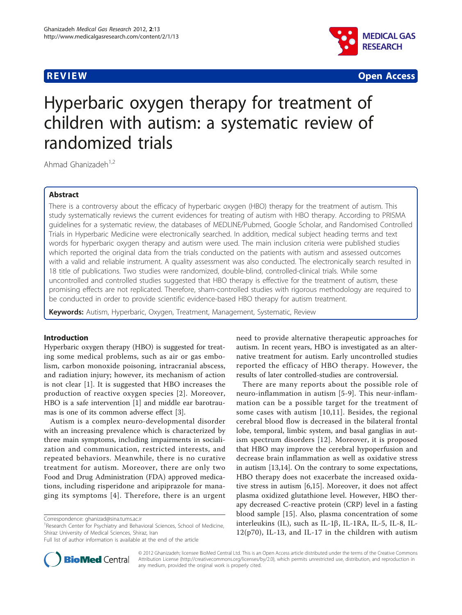

**REVIEW CONSTRUCTION CONSTRUCTION CONSTRUCTS** 

# Hyperbaric oxygen therapy for treatment of children with autism: a systematic review of randomized trials

Ahmad Ghanizadeh<sup>1,2</sup>

## Abstract

There is a controversy about the efficacy of hyperbaric oxygen (HBO) therapy for the treatment of autism. This study systematically reviews the current evidences for treating of autism with HBO therapy. According to PRISMA guidelines for a systematic review, the databases of MEDLINE/Pubmed, Google Scholar, and Randomised Controlled Trials in Hyperbaric Medicine were electronically searched. In addition, medical subject heading terms and text words for hyperbaric oxygen therapy and autism were used. The main inclusion criteria were published studies which reported the original data from the trials conducted on the patients with autism and assessed outcomes with a valid and reliable instrument. A quality assessment was also conducted. The electronically search resulted in 18 title of publications. Two studies were randomized, double-blind, controlled-clinical trials. While some uncontrolled and controlled studies suggested that HBO therapy is effective for the treatment of autism, these promising effects are not replicated. Therefore, sham-controlled studies with rigorous methodology are required to be conducted in order to provide scientific evidence-based HBO therapy for autism treatment.

Keywords: Autism, Hyperbaric, Oxygen, Treatment, Management, Systematic, Review

## Introduction

Hyperbaric oxygen therapy (HBO) is suggested for treating some medical problems, such as air or gas embolism, carbon monoxide poisoning, intracranial abscess, and radiation injury; however, its mechanism of action is not clear [[1\]](#page-6-0). It is suggested that HBO increases the production of reactive oxygen species [[2](#page-6-0)]. Moreover, HBO is a safe intervention [\[1](#page-6-0)] and middle ear barotraumas is one of its common adverse effect [\[3\]](#page-6-0).

Autism is a complex neuro-developmental disorder with an increasing prevalence which is characterized by three main symptoms, including impairments in socialization and communication, restricted interests, and repeated behaviors. Meanwhile, there is no curative treatment for autism. Moreover, there are only two Food and Drug Administration (FDA) approved medications, including risperidone and aripiprazole for managing its symptoms [[4\]](#page-6-0). Therefore, there is an urgent



There are many reports about the possible role of neuro-inflammation in autism [[5-9\]](#page-6-0). This neur-inflammation can be a possible target for the treatment of some cases with autism [[10,11\]](#page-6-0). Besides, the regional cerebral blood flow is decreased in the bilateral frontal lobe, temporal, limbic system, and basal ganglias in autism spectrum disorders [[12\]](#page-6-0). Moreover, it is proposed that HBO may improve the cerebral hypoperfusion and decrease brain inflammation as well as oxidative stress in autism [[13](#page-6-0),[14](#page-6-0)]. On the contrary to some expectations, HBO therapy does not exacerbate the increased oxidative stress in autism [\[6](#page-6-0),[15](#page-6-0)]. Moreover, it does not affect plasma oxidized glutathione level. However, HBO therapy decreased C-reactive protein (CRP) level in a fasting blood sample [[15\]](#page-6-0). Also, plasma concentration of some interleukins (IL), such as IL-1 $\beta$ , IL-1RA, IL-5, IL-8, IL- $12(p70)$ , IL-13, and IL-17 in the children with autism



© 2012 Ghanizadeh; licensee BioMed Central Ltd. This is an Open Access article distributed under the terms of the Creative Commons Attribution License [\(http://creativecommons.org/licenses/by/2.0](http://creativecommons.org/licenses/by/2.0)), which permits unrestricted use, distribution, and reproduction in any medium, provided the original work is properly cited.

Correspondence: [ghanizad@sina.tums.ac.ir](mailto:ghanizad@sina.tums.ac.ir)

<sup>&</sup>lt;sup>1</sup> Research Center for Psychiatry and Behavioral Sciences, School of Medicine, Shiraz University of Medical Sciences, Shiraz, Iran

Full list of author information is available at the end of the article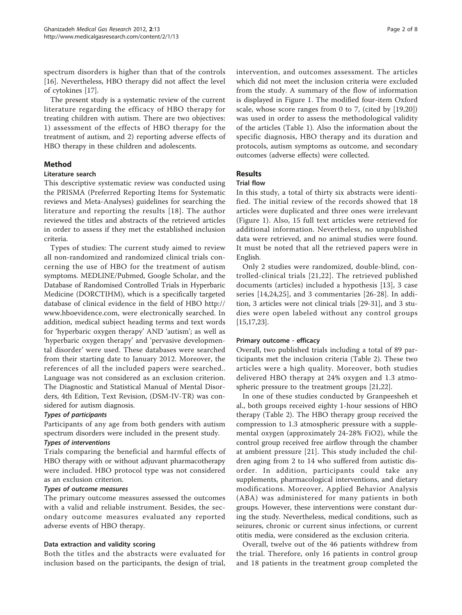spectrum disorders is higher than that of the controls [[16\]](#page-6-0). Nevertheless, HBO therapy did not affect the level of cytokines [\[17\]](#page-6-0).

The present study is a systematic review of the current literature regarding the efficacy of HBO therapy for treating children with autism. There are two objectives: 1) assessment of the effects of HBO therapy for the treatment of autism, and 2) reporting adverse effects of HBO therapy in these children and adolescents.

# Method

## Literature search

This descriptive systematic review was conducted using the PRISMA (Preferred Reporting Items for Systematic reviews and Meta-Analyses) guidelines for searching the literature and reporting the results [[18\]](#page-6-0). The author reviewed the titles and abstracts of the retrieved articles in order to assess if they met the established inclusion criteria.

Types of studies: The current study aimed to review all non-randomized and randomized clinical trials concerning the use of HBO for the treatment of autism symptoms. MEDLINE/Pubmed, Google Scholar, and the Database of Randomised Controlled Trials in Hyperbaric Medicine (DORCTIHM), which is a specifically targeted database of clinical evidence in the field of HBO [http://](http://www.hboevidence.com) [www.hboevidence.com,](http://www.hboevidence.com) were electronically searched. In addition, medical subject heading terms and text words for 'hyperbaric oxygen therapy' AND 'autism'; as well as 'hyperbaric oxygen therapy' and 'pervasive developmental disorder' were used. These databases were searched from their starting date to January 2012. Moreover, the references of all the included papers were searched.. Language was not considered as an exclusion criterion. The Diagnostic and Statistical Manual of Mental Disorders, 4th Edition, Text Revision, (DSM-IV-TR) was considered for autism diagnosis.

# Types of participants

Participants of any age from both genders with autism spectrum disorders were included in the present study.

## Types of interventions

Trials comparing the beneficial and harmful effects of HBO therapy with or without adjuvant pharmacotherapy were included. HBO protocol type was not considered as an exclusion criterion.

## Types of outcome measures

The primary outcome measures assessed the outcomes with a valid and reliable instrument. Besides, the secondary outcome measures evaluated any reported adverse events of HBO therapy.

## Data extraction and validity scoring

Both the titles and the abstracts were evaluated for inclusion based on the participants, the design of trial, intervention, and outcomes assessment. The articles which did not meet the inclusion criteria were excluded from the study. A summary of the flow of information is displayed in Figure [1.](#page-2-0) The modified four-item Oxford scale, whose score ranges from 0 to 7, (cited by [\[19,20](#page-6-0)]) was used in order to assess the methodological validity of the articles (Table [1\)](#page-2-0). Also the information about the specific diagnosis, HBO therapy and its duration and protocols, autism symptoms as outcome, and secondary outcomes (adverse effects) were collected.

# Results

#### Trial flow

In this study, a total of thirty six abstracts were identified. The initial review of the records showed that 18 articles were duplicated and three ones were irrelevant (Figure [1](#page-2-0)). Also, 15 full text articles were retrieved for additional information. Nevertheless, no unpublished data were retrieved, and no animal studies were found. It must be noted that all the retrieved papers were in English.

Only 2 studies were randomized, double-blind, controlled-clinical trials [[21,22](#page-6-0)]. The retrieved published documents (articles) included a hypothesis [[13\]](#page-6-0), 3 case series [[14,24](#page-6-0),[25\]](#page-7-0), and 3 commentaries [[26-28\]](#page-7-0). In addition, 3 articles were not clinical trials [[29](#page-7-0)-[31\]](#page-7-0), and 3 studies were open labeled without any control groups [[15,17,23](#page-6-0)].

## Primary outcome - efficacy

Overall, two published trials including a total of 89 participants met the inclusion criteria (Table [2\)](#page-3-0). These two articles were a high quality. Moreover, both studies delivered HBO therapy at 24% oxygen and 1.3 atmospheric pressure to the treatment groups [\[21,22\]](#page-6-0).

In one of these studies conducted by Granpeesheh et al., both groups received eighty 1-hour sessions of HBO therapy (Table [2\)](#page-3-0). The HBO therapy group received the compression to 1.3 atmospheric pressure with a supplemental oxygen (approximately 24-28% FiO2), while the control group received free airflow through the chamber at ambient pressure [[21\]](#page-6-0). This study included the children aging from 2 to 14 who suffered from autistic disorder. In addition, participants could take any supplements, pharmacological interventions, and dietary modifications. Moreover, Applied Behavior Analysis (ABA) was administered for many patients in both groups. However, these interventions were constant during the study. Nevertheless, medical conditions, such as seizures, chronic or current sinus infections, or current otitis media, were considered as the exclusion criteria.

Overall, twelve out of the 46 patients withdrew from the trial. Therefore, only 16 patients in control group and 18 patients in the treatment group completed the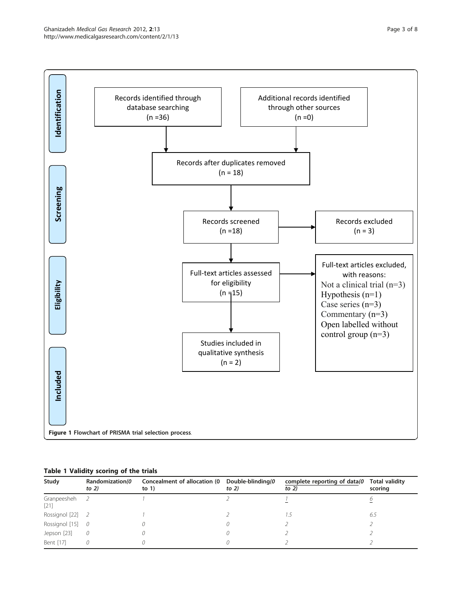

<span id="page-2-0"></span>

|  | Table 1 Validity scoring of the trials |  |  |
|--|----------------------------------------|--|--|
|  |                                        |  |  |

| Study               | Randomization(0<br>to $2)$ | Concealment of allocation (0 Double-blinding (0<br>to $1)$ | to $2)$ | complete reporting of data(0<br>to $2)$ | <b>Total validity</b><br>scoring |
|---------------------|----------------------------|------------------------------------------------------------|---------|-----------------------------------------|----------------------------------|
| Granpeesheh<br>[21] |                            |                                                            |         |                                         |                                  |
| Rossignol [22] 2    |                            |                                                            |         |                                         | 6.5                              |
| Rossignol [15] 0    |                            |                                                            |         |                                         |                                  |
| Jepson [23]         | 0                          |                                                            |         |                                         |                                  |
| Bent [17]           |                            |                                                            |         |                                         |                                  |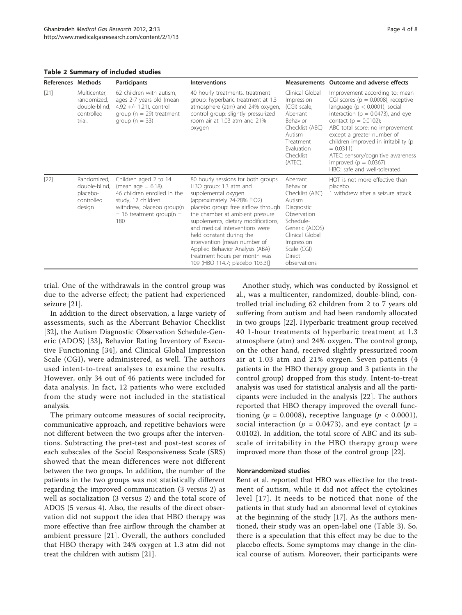<span id="page-3-0"></span>Table 2 Summary of included studies

| References Methods |                                                                      | <b>Participants</b>                                                                                                                                                     | <b>Interventions</b>                                                                                                                                                                                                                                                                                                                                                                                                                     |                                                                                                                                                                                         | Measurements Outcome and adverse effects                                                                                                                                                                                                                                                                                                                                                                        |
|--------------------|----------------------------------------------------------------------|-------------------------------------------------------------------------------------------------------------------------------------------------------------------------|------------------------------------------------------------------------------------------------------------------------------------------------------------------------------------------------------------------------------------------------------------------------------------------------------------------------------------------------------------------------------------------------------------------------------------------|-----------------------------------------------------------------------------------------------------------------------------------------------------------------------------------------|-----------------------------------------------------------------------------------------------------------------------------------------------------------------------------------------------------------------------------------------------------------------------------------------------------------------------------------------------------------------------------------------------------------------|
| $[21]$             | Multicenter,<br>randomized,<br>double-blind,<br>controlled<br>trial. | 62 children with autism,<br>ages 2-7 years old (mean<br>$4.92 +/- 1.21$ , control<br>group ( $n = 29$ ) treatment<br>group ( $n = 33$ )                                 | 40 hourly treatments, treatment<br>group: hyperbaric treatment at 1.3<br>atmosphere (atm) and 24% oxygen,<br>control group: slightly pressurized<br>room air at 1.03 atm and 21%<br>oxygen                                                                                                                                                                                                                                               | Clinical Global<br>Impression<br>(CGI) scale,<br>Aberrant<br><b>Behavior</b><br>Checklist (ABC)<br>Autism<br>Treatment<br>Evaluation<br>Checklist<br>(ATEC).                            | Improvement according to: mean<br>CGI scores ( $p = 0.0008$ ), receptive<br>language ( $p < 0.0001$ ), social<br>interaction ( $p = 0.0473$ ), and eye<br>contact ( $p = 0.0102$ );<br>ABC total score: no improvement<br>except a greater number of<br>children improved in irritability (p<br>$= 0.0311$ .<br>ATEC: sensory/cognitive awareness<br>improved ( $p = 0.0367$ )<br>HBO: safe and well-tolerated. |
| $[22]$             | Randomized,<br>double-blind,<br>placebo-<br>controlled<br>design     | Children aged 2 to 14<br>(mean age $= 6.18$ ).<br>46 children enrolled in the<br>study, 12 children<br>withdrew, placebo group(n<br>$=$ 16 treatment group(n $=$<br>180 | 80 hourly sessions for both groups<br>HBO group: 1.3 atm and<br>supplemental oxygen<br>(approximately 24-28% FiO2)<br>placebo group: free airflow through<br>the chamber at ambient pressure<br>supplements, dietary modifications,<br>and medical interventions were<br>held constant during the<br>intervention [mean number of<br>Applied Behavior Analysis (ABA)<br>treatment hours per month was<br>109 (HBO 114.7; placebo 103.3)] | Aberrant<br>Behavior<br>Checklist (ABC)<br>Autism<br>Diagnostic<br>Observation<br>Schedule-<br>Generic (ADOS)<br>Clinical Global<br>Impression<br>Scale (CGI)<br>Direct<br>observations | HOT is not more effective than<br>placebo.<br>1 withdrew after a seizure attack.                                                                                                                                                                                                                                                                                                                                |

trial. One of the withdrawals in the control group was due to the adverse effect; the patient had experienced seizure [\[21](#page-6-0)].

In addition to the direct observation, a large variety of assessments, such as the Aberrant Behavior Checklist [[32\]](#page-7-0), the Autism Diagnostic Observation Schedule-Generic (ADOS) [\[33](#page-7-0)], Behavior Rating Inventory of Executive Functioning [[34](#page-7-0)], and Clinical Global Impression Scale (CGI), were administered, as well. The authors used intent-to-treat analyses to examine the results. However, only 34 out of 46 patients were included for data analysis. In fact, 12 patients who were excluded from the study were not included in the statistical analysis.

The primary outcome measures of social reciprocity, communicative approach, and repetitive behaviors were not different between the two groups after the interventions. Subtracting the pret-test and post-test scores of each subscales of the Social Responsiveness Scale (SRS) showed that the mean differences were not different between the two groups. In addition, the number of the patients in the two groups was not statistically different regarding the improved communication (3 versus 2) as well as socialization (3 versus 2) and the total score of ADOS (5 versus 4). Also, the results of the direct observation did not support the idea that HBO therapy was more effective than free airflow through the chamber at ambient pressure [[21\]](#page-6-0). Overall, the authors concluded that HBO therapy with 24% oxygen at 1.3 atm did not treat the children with autism [\[21\]](#page-6-0).

Another study, which was conducted by Rossignol et al., was a multicenter, randomized, double-blind, controlled trial including 62 children from 2 to 7 years old suffering from autism and had been randomly allocated in two groups [\[22](#page-6-0)]. Hyperbaric treatment group received 40 1-hour treatments of hyperbaric treatment at 1.3 atmosphere (atm) and 24% oxygen. The control group, on the other hand, received slightly pressurized room air at 1.03 atm and 21% oxygen. Seven patients (4 patients in the HBO therapy group and 3 patients in the control group) dropped from this study. Intent-to-treat analysis was used for statistical analysis and all the participants were included in the analysis [[22\]](#page-6-0). The authors reported that HBO therapy improved the overall functioning ( $p = 0.0008$ ), receptive language ( $p < 0.0001$ ), social interaction ( $p = 0.0473$ ), and eye contact ( $p =$ 0.0102). In addition, the total score of ABC and its subscale of irritability in the HBO therapy group were improved more than those of the control group [[22](#page-6-0)].

#### Nonrandomized studies

Bent et al. reported that HBO was effective for the treatment of autism, while it did not affect the cytokines level [[17](#page-6-0)]. It needs to be noticed that none of the patients in that study had an abnormal level of cytokines at the beginning of the study [[17\]](#page-6-0). As the authors mentioned, their study was an open-label one (Table [3](#page-4-0)). So, there is a speculation that this effect may be due to the placebo effects. Some symptoms may change in the clinical course of autism. Moreover, their participants were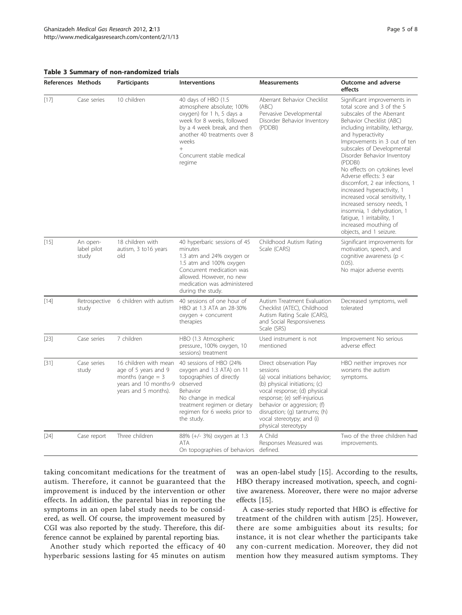<span id="page-4-0"></span>

|  |  |  |  | Table 3 Summary of non-randomized trials |  |
|--|--|--|--|------------------------------------------|--|
|--|--|--|--|------------------------------------------|--|

| References Methods |                                  | <b>Participants</b>                              | <b>Interventions</b>                                                                                                                                                                                                                 | <b>Measurements</b>                                                                                                                   | Outcome and adverse<br>effects                                                                                                                                                                                                                                                                                                                                                                                                                                                                                                                                                                   |
|--------------------|----------------------------------|--------------------------------------------------|--------------------------------------------------------------------------------------------------------------------------------------------------------------------------------------------------------------------------------------|---------------------------------------------------------------------------------------------------------------------------------------|--------------------------------------------------------------------------------------------------------------------------------------------------------------------------------------------------------------------------------------------------------------------------------------------------------------------------------------------------------------------------------------------------------------------------------------------------------------------------------------------------------------------------------------------------------------------------------------------------|
| $[17]$             | Case series                      | 10 children                                      | 40 days of HBO (1.5<br>atmosphere absolute; 100%<br>oxygen) for 1 h, 5 days a<br>week for 8 weeks, followed<br>by a 4 week break, and then<br>another 40 treatments over 8<br>weeks<br>$^{+}$<br>Concurrent stable medical<br>regime | Aberrant Behavior Checklist<br>(ABC)<br>Pervasive Developmental<br>Disorder Behavior Inventory<br>(PDDBI)                             | Significant improvements in<br>total score and 3 of the 5<br>subscales of the Aberrant<br>Behavior Checklist (ABC)<br>including irritability, lethargy,<br>and hyperactivity<br>Improvements in 3 out of ten<br>subscales of Developmental<br>Disorder Behavior Inventory<br>(PDDBI)<br>No effects on cytokines level<br>Adverse effects: 3 ear<br>discomfort, 2 ear infections, 1<br>increased hyperactivity, 1<br>increased vocal sensitivity, 1<br>increased sensory needs, 1<br>insomnia, 1 dehydration, 1<br>fatigue, 1 irritability, 1<br>increased mouthing of<br>objects, and 1 seizure. |
| $[15]$             | An open-<br>label pilot<br>study | 18 children with<br>autism, 3 to 16 years<br>old | 40 hyperbaric sessions of 45<br>minutes<br>1.3 atm and 24% oxygen or<br>1.5 atm and 100% oxygen<br>Concurrent medication was<br>allowed. However, no new<br>medication was administered<br>during the study.                         | Childhood Autism Rating<br>Scale (CARS)                                                                                               | Significant improvements for<br>motivation, speech, and<br>cognitive awareness ( $p <$<br>$0.05$ ).<br>No major adverse events                                                                                                                                                                                                                                                                                                                                                                                                                                                                   |
| $[14]$             | Retrospective<br>study           | 6 children with autism                           | 40 sessions of one hour of<br>HBO at 1.3 ATA an 28-30%<br>oxygen + concurrent<br>therapies                                                                                                                                           | Autism Treatment Evaluation<br>Checklist (ATEC), Childhood<br>Autism Rating Scale (CARS),<br>and Social Responsiveness<br>Scale (SRS) | Decreased symptoms, well<br>tolerated                                                                                                                                                                                                                                                                                                                                                                                                                                                                                                                                                            |
| $[23]$             | Case series                      | 7 children                                       | HBO (1.3 Atmospheric<br>pressure 100% oxvaen. 10                                                                                                                                                                                     | Used instrument is not<br>mentioned                                                                                                   | Improvement No serious<br>adverse effect                                                                                                                                                                                                                                                                                                                                                                                                                                                                                                                                                         |

|        |                      |                                                                                                                       | pressure., 100% oxygen, 10<br>sessions) treatment                                                                                                                                                              | mentioned                                                                                                                                                                                                                                                                                   | adverse effect                                              |
|--------|----------------------|-----------------------------------------------------------------------------------------------------------------------|----------------------------------------------------------------------------------------------------------------------------------------------------------------------------------------------------------------|---------------------------------------------------------------------------------------------------------------------------------------------------------------------------------------------------------------------------------------------------------------------------------------------|-------------------------------------------------------------|
| $[31]$ | Case series<br>study | 16 children with mean<br>age of 5 years and 9<br>months (range $=$ 3<br>years and 10 months-9<br>years and 5 months). | 40 sessions of HBO (24%<br>oxygen and 1.3 ATA) on 11<br>topographies of directly<br>observed<br>Behavior<br>No change in medical<br>treatment regimen or dietary<br>regimen for 6 weeks prior to<br>the study. | Direct observation Play<br>sessions<br>(a) vocal initiations behavior;<br>(b) physical initiations; (c)<br>vocal response; (d) physical<br>response; (e) self-injurious<br>behavior or aggression; (f)<br>disruption; (g) tantrums; (h)<br>vocal stereotypy; and (i)<br>physical stereotypy | HBO neither improves nor<br>worsens the autism<br>symptoms. |
| $[24]$ | Case report          | Three children                                                                                                        | 88% (+/- 3%) oxygen at 1.3<br>ATA.<br>On topographies of behaviors                                                                                                                                             | A Child<br>Responses Measured was<br>defined.                                                                                                                                                                                                                                               | Two of the three children had<br>improvements.              |

taking concomitant medications for the treatment of autism. Therefore, it cannot be guaranteed that the improvement is induced by the intervention or other effects. In addition, the parental bias in reporting the symptoms in an open label study needs to be considered, as well. Of course, the improvement measured by CGI was also reported by the study. Therefore, this difference cannot be explained by parental reporting bias.

Another study which reported the efficacy of 40 hyperbaric sessions lasting for 45 minutes on autism was an open-label study [[15\]](#page-6-0). According to the results, HBO therapy increased motivation, speech, and cognitive awareness. Moreover, there were no major adverse effects [[15\]](#page-6-0).

A case-series study reported that HBO is effective for treatment of the children with autism [[25\]](#page-7-0). However, there are some ambiguities about its results; for instance, it is not clear whether the participants take any con-current medication. Moreover, they did not mention how they measured autism symptoms. They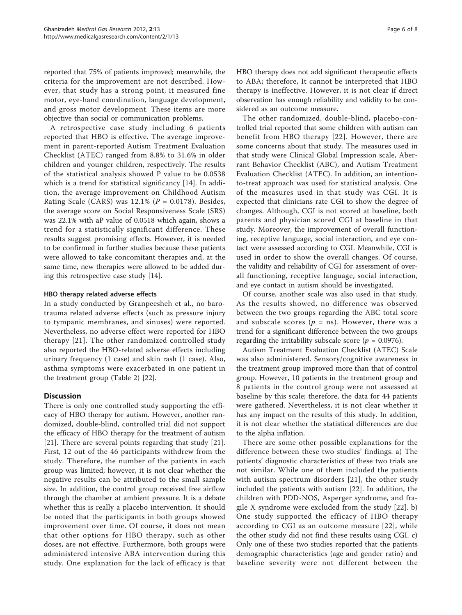reported that 75% of patients improved; meanwhile, the criteria for the improvement are not described. However, that study has a strong point, it measured fine motor, eye-hand coordination, language development, and gross motor development. These items are more objective than social or communication problems.

A retrospective case study including 6 patients reported that HBO is effective. The average improvement in parent-reported Autism Treatment Evaluation Checklist (ATEC) ranged from 8.8% to 31.6% in older children and younger children, respectively. The results of the statistical analysis showed P value to be 0.0538 which is a trend for statistical significancy [[14\]](#page-6-0). In addition, the average improvement on Childhood Autism Rating Scale (CARS) was  $12.1\%$  ( $P = 0.0178$ ). Besides, the average score on Social Responsiveness Scale (SRS) was 22.1% with aP value of 0.0518 which again, shows a trend for a statistically significant difference. These results suggest promising effects. However, it is needed to be confirmed in further studies because these patients were allowed to take concomitant therapies and, at the same time, new therapies were allowed to be added during this retrospective case study [\[14](#page-6-0)].

## HBO therapy related adverse effects

In a study conducted by Granpeesheh et al., no barotrauma related adverse effects (such as pressure injury to tympanic membranes, and sinuses) were reported. Nevertheless, no adverse effect were reported for HBO therapy [\[21\]](#page-6-0). The other randomized controlled study also reported the HBO-related adverse effects including urinary frequency (1 case) and skin rash (1 case). Also, asthma symptoms were exacerbated in one patient in the treatment group (Table [2](#page-3-0)) [[22](#page-6-0)].

# **Discussion**

There is only one controlled study supporting the efficacy of HBO therapy for autism. However, another randomized, double-blind, controlled trial did not support the efficacy of HBO therapy for the treatment of autism [[21\]](#page-6-0). There are several points regarding that study [\[21](#page-6-0)]. First, 12 out of the 46 participants withdrew from the study. Therefore, the number of the patients in each group was limited; however, it is not clear whether the negative results can be attributed to the small sample size. In addition, the control group received free airflow through the chamber at ambient pressure. It is a debate whether this is really a placebo intervention. It should be noted that the participants in both groups showed improvement over time. Of course, it does not mean that other options for HBO therapy, such as other doses, are not effective. Furthermore, both groups were administered intensive ABA intervention during this study. One explanation for the lack of efficacy is that HBO therapy does not add significant therapeutic effects to ABA; therefore, It cannot be interpreted that HBO therapy is ineffective. However, it is not clear if direct observation has enough reliability and validity to be considered as an outcome measure.

The other randomized, double-blind, placebo-controlled trial reported that some children with autism can benefit from HBO therapy [[22\]](#page-6-0). However, there are some concerns about that study. The measures used in that study were Clinical Global Impression scale, Aberrant Behavior Checklist (ABC), and Autism Treatment Evaluation Checklist (ATEC). In addition, an intentionto-treat approach was used for statistical analysis. One of the measures used in that study was CGI. It is expected that clinicians rate CGI to show the degree of changes. Although, CGI is not scored at baseline, both parents and physician scored CGI at baseline in that study. Moreover, the improvement of overall functioning, receptive language, social interaction, and eye contact were assessed according to CGI. Meanwhile, CGI is used in order to show the overall changes. Of course, the validity and reliability of CGI for assessment of overall functioning, receptive language, social interaction, and eye contact in autism should be investigated.

Of course, another scale was also used in that study. As the results showed, no difference was observed between the two groups regarding the ABC total score and subscale scores ( $p =$ ns). However, there was a trend for a significant difference between the two groups regarding the irritability subscale score ( $p = 0.0976$ ).

Autism Treatment Evaluation Checklist (ATEC) Scale was also administered. Sensory/cognitive awareness in the treatment group improved more than that of control group. However, 10 patients in the treatment group and 8 patients in the control group were not assessed at baseline by this scale; therefore, the data for 44 patients were gathered. Nevertheless, it is not clear whether it has any impact on the results of this study. In addition, it is not clear whether the statistical differences are due to the alpha inflation.

There are some other possible explanations for the difference between these two studies' findings. a) The patients' diagnostic characteristics of these two trials are not similar. While one of them included the patients with autism spectrum disorders [\[21\]](#page-6-0), the other study included the patients with autism [[22\]](#page-6-0). In addition, the children with PDD-NOS, Asperger syndrome, and fragile X syndrome were excluded from the study [[22](#page-6-0)]. b) One study supported the efficacy of HBO therapy according to CGI as an outcome measure [[22](#page-6-0)], while the other study did not find these results using CGI. c) Only one of these two studies reported that the patients demographic characteristics (age and gender ratio) and baseline severity were not different between the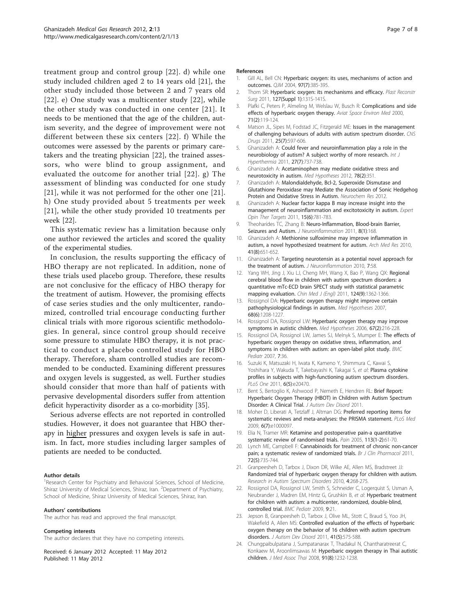<span id="page-6-0"></span>treatment group and control group [22]. d) while one study included children aged 2 to 14 years old [21], the other study included those between 2 and 7 years old [22]. e) One study was a multicenter study [22], while the other study was conducted in one center [21]. It needs to be mentioned that the age of the children, autism severity, and the degree of improvement were not different between these six centers [22]. f) While the outcomes were assessed by the parents or primary caretakers and the treating physician [22], the trained assessors, who were blind to group assignment, and evaluated the outcome for another trial [22]. g) The assessment of blinding was conducted for one study [21], while it was not performed for the other one [21]. h) One study provided about 5 treatments per week [21], while the other study provided 10 treatments per week [22].

This systematic review has a limitation because only one author reviewed the articles and scored the quality of the experimental studies.

In conclusion, the results supporting the efficacy of HBO therapy are not replicated. In addition, none of these trials used placebo group. Therefore, these results are not conclusive for the efficacy of HBO therapy for the treatment of autism. However, the promising effects of case series studies and the only multicenter, randomized, controlled trial encourage conducting further clinical trials with more rigorous scientific methodologies. In general, since control group should receive some pressure to stimulate HBO therapy, it is not practical to conduct a placebo controlled study for HBO therapy. Therefore, sham controlled studies are recommended to be conducted. Examining different pressures and oxygen levels is suggested, as well. Further studies should consider that more than half of patients with pervasive developmental disorders suffer from attention deficit hyperactivity disorder as a co-morbidity [\[35\]](#page-7-0).

Serious adverse effects are not reported in controlled studies. However, it does not guarantee that HBO therapy in higher pressures and oxygen levels is safe in autism. In fact, more studies including larger samples of patients are needed to be conducted.

#### Author details

<sup>1</sup>Research Center for Psychiatry and Behavioral Sciences, School of Medicine, Shiraz University of Medical Sciences, Shiraz, Iran. <sup>2</sup>Department of Psychiatry, School of Medicine, Shiraz University of Medical Sciences, Shiraz, Iran.

#### Authors' contributions

The author has read and approved the final manuscript.

#### Competing interests

The author declares that they have no competing interests.

Received: 6 January 2012 Accepted: 11 May 2012 Published: 11 May 2012

#### References

- 1. Gill AL, Bell CN: [Hyperbaric oxygen: its uses, mechanisms of action and](http://www.ncbi.nlm.nih.gov/pubmed/15208426?dopt=Abstract) [outcomes.](http://www.ncbi.nlm.nih.gov/pubmed/15208426?dopt=Abstract) QJM 2004, 97(7):385-395.
- 2. Thom SR: [Hyperbaric oxygen: its mechanisms and efficacy.](http://www.ncbi.nlm.nih.gov/pubmed/21200283?dopt=Abstract) Plast Reconstr Surg 2011, 127(Suppl 1):131S-141S.
- Plafki C, Peters P, Almeling M, Welslau W, Busch R: [Complications and side](http://www.ncbi.nlm.nih.gov/pubmed/10685584?dopt=Abstract) [effects of hyperbaric oxygen therapy.](http://www.ncbi.nlm.nih.gov/pubmed/10685584?dopt=Abstract) Aviat Space Environ Med 2000, 71(2):119-124.
- 4. Matson JL, Sipes M, Fodstad JC, Fitzgerald ME: [Issues in the management](http://www.ncbi.nlm.nih.gov/pubmed/21699271?dopt=Abstract) [of challenging behaviours of adults with autism spectrum disorder.](http://www.ncbi.nlm.nih.gov/pubmed/21699271?dopt=Abstract) CNS Drugs 2011, 25(7):597-606.
- 5. Ghanizadeh A: [Could fever and neuroinflammation play a role in the](http://www.ncbi.nlm.nih.gov/pubmed/21967199?dopt=Abstract) [neurobiology of autism? A subject worthy of more research.](http://www.ncbi.nlm.nih.gov/pubmed/21967199?dopt=Abstract) Int J Hyperthermia 2011, 27(7):737-738.
- 6. Ghanizadeh A: [Acetaminophen may mediate oxidative stress and](http://www.ncbi.nlm.nih.gov/pubmed/22154541?dopt=Abstract) [neurotoxicity in autism.](http://www.ncbi.nlm.nih.gov/pubmed/22154541?dopt=Abstract) Med Hypotheses 2012, 78(2):351.
- 7. Ghanizadeh A: Malondialdehyde, Bcl-2, Superoxide Dismutase and Glutathione Peroxidase may Mediate the Association of Sonic Hedgehog Protein and Oxidative Stress in Autism. Neurochem Res 2012.
- 8. Ghanizadeh A: [Nuclear factor kappa B may increase insight into the](http://www.ncbi.nlm.nih.gov/pubmed/21554160?dopt=Abstract) [management of neuroinflammation and excitotoxicity in autism.](http://www.ncbi.nlm.nih.gov/pubmed/21554160?dopt=Abstract) Expert Opin Ther Targets 2011, 15(6):781-783.
- 9. Theoharides TC, Zhang B: [Neuro-Inflammation, Blood-brain Barrier,](http://www.ncbi.nlm.nih.gov/pubmed/22129087?dopt=Abstract) [Seizures and Autism.](http://www.ncbi.nlm.nih.gov/pubmed/22129087?dopt=Abstract) J Neuroinflammation 2011, 8(1):168.
- 10. Ghanizadeh A: [Methionine sulfoximine may improve inflammation in](http://www.ncbi.nlm.nih.gov/pubmed/21199736?dopt=Abstract) [autism, a novel hypothesized treatment for autism.](http://www.ncbi.nlm.nih.gov/pubmed/21199736?dopt=Abstract) Arch Med Res 2010, 41(8):651-652.
- 11. Ghanizadeh A: [Targeting neurotensin as a potential novel approach for](http://www.ncbi.nlm.nih.gov/pubmed/20920308?dopt=Abstract) [the treatment of autism.](http://www.ncbi.nlm.nih.gov/pubmed/20920308?dopt=Abstract) J Neuroinflammation 2010, 7:58.
- 12. Yang WH, Jing J, Xiu LJ, Cheng MH, Wang X, Bao P, Wang QX: Regional cerebral blood flow in children with autism spectrum disorders: a quantitative mTc-ECD brain SPECT study with statistical parametric mapping evaluation. Chin Med J (Engl) 2011, 124(9):1362-1366.
- 13. Rossignol DA: [Hyperbaric oxygen therapy might improve certain](http://www.ncbi.nlm.nih.gov/pubmed/17141962?dopt=Abstract) [pathophysiological findings in autism.](http://www.ncbi.nlm.nih.gov/pubmed/17141962?dopt=Abstract) Med Hypotheses 2007, 68(6):1208-1227.
- 14. Rossignol DA, Rossignol LW: [Hyperbaric oxygen therapy may improve](http://www.ncbi.nlm.nih.gov/pubmed/16554123?dopt=Abstract) [symptoms in autistic children.](http://www.ncbi.nlm.nih.gov/pubmed/16554123?dopt=Abstract) Med Hypotheses 2006, 67(2):216-228.
- 15. Rossignol DA, Rossignol LW, James SJ, Melnyk S, Mumper E: The [effects of](http://www.ncbi.nlm.nih.gov/pubmed/18005455?dopt=Abstract) [hyperbaric oxygen therapy on oxidative stress, inflammation, and](http://www.ncbi.nlm.nih.gov/pubmed/18005455?dopt=Abstract) [symptoms in children with autism: an open-label pilot study.](http://www.ncbi.nlm.nih.gov/pubmed/18005455?dopt=Abstract) BMC Pediatr 2007, 7:36.
- 16. Suzuki K, Matsuzaki H, Iwata K, Kameno Y, Shimmura C, Kawai S, Yoshihara Y, Wakuda T, Takebayashi K, Takagai S, et al: [Plasma cytokine](http://www.ncbi.nlm.nih.gov/pubmed/21647375?dopt=Abstract) [profiles in subjects with high-functioning autism spectrum disorders.](http://www.ncbi.nlm.nih.gov/pubmed/21647375?dopt=Abstract) PLoS One 2011, 6(5):e20470.
- 17. Bent S, Bertoglio K, Ashwood P, Nemeth E, Hendren RL: Brief Report: Hyperbaric Oxygen Therapy (HBOT) in Children with Autism Spectrum Disorder: A Clinical Trial. J Autism Dev Disord 2011
- 18. Moher D, Liberati A, Tetzlaff J, Altman DG: [Preferred reporting items for](http://www.ncbi.nlm.nih.gov/pubmed/19621072?dopt=Abstract) [systematic reviews and meta-analyses: the PRISMA statement.](http://www.ncbi.nlm.nih.gov/pubmed/19621072?dopt=Abstract) PLoS Med 2009, 6(7):e1000097.
- 19. Elia N, Tramer MR: [Ketamine and postoperative pain-a quantitative](http://www.ncbi.nlm.nih.gov/pubmed/15621365?dopt=Abstract) [systematic review of randomised trials.](http://www.ncbi.nlm.nih.gov/pubmed/15621365?dopt=Abstract) Pain 2005, 113(1-2):61-70.
- 20. Lynch ME, Campbell F: [Cannabinoids for treatment of chronic non-cancer](http://www.ncbi.nlm.nih.gov/pubmed/21426373?dopt=Abstract) pain: a systematic review of randomized trials. Br J Clin Pharmacol 2011, 72(5):735-744.
- 21. Granpeesheh D, Tarbox J, Dixon DR, Wilke AE, Allen MS, Bradstreet JJ: Randomized trial of hyperbaric oxygen therapy for children with autism. Research in Autism Spectrum Disorders 2010, 4:268-275.
- 22. Rossignol DA, Rossignol LW, Smith S, Schneider C, Logerquist S, Usman A, Neubrander J, Madren EM, Hintz G, Grushkin B, et al: [Hyperbaric treatment](http://www.ncbi.nlm.nih.gov/pubmed/19284641?dopt=Abstract) [for children with autism: a multicenter, randomized, double-blind,](http://www.ncbi.nlm.nih.gov/pubmed/19284641?dopt=Abstract) [controlled trial.](http://www.ncbi.nlm.nih.gov/pubmed/19284641?dopt=Abstract) BMC Pediatr 2009, 9:21.
- 23. Jepson B, Granpeesheh D, Tarbox J, Olive ML, Stott C, Braud S, Yoo JH, Wakefield A, Allen MS: [Controlled evaluation of the effects of hyperbaric](http://www.ncbi.nlm.nih.gov/pubmed/20680427?dopt=Abstract) [oxygen therapy on the behavior of 16 children with autism spectrum](http://www.ncbi.nlm.nih.gov/pubmed/20680427?dopt=Abstract) [disorders.](http://www.ncbi.nlm.nih.gov/pubmed/20680427?dopt=Abstract) J Autism Dev Disord 2011, 41(5):575-588.
- 24. Chungpaibulpatana J, Sumpatanarax T, Thadakul N, Chantharatreerat C, Konkaew M, Aroonlimsawas M: [Hyperbaric oxygen therapy in Thai autistic](http://www.ncbi.nlm.nih.gov/pubmed/18788696?dopt=Abstract) [children.](http://www.ncbi.nlm.nih.gov/pubmed/18788696?dopt=Abstract) J Med Assoc Thai 2008, 91(8):1232-1238.